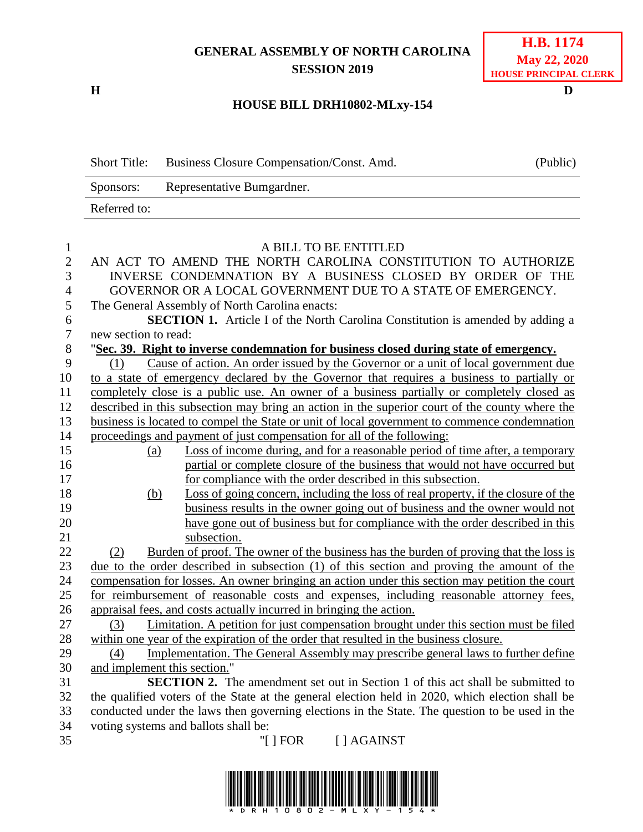## **GENERAL ASSEMBLY OF NORTH CAROLINA SESSION 2019**

**H D**

## **H.B. 1174 May 22, 2020 HOUSE PRINCIPAL CLERK**

## **HOUSE BILL DRH10802-MLxy-154**

| <b>Short Title:</b> | Business Closure Compensation/Const. Amd. | (Public) |
|---------------------|-------------------------------------------|----------|
| Sponsors:           | Representative Bumgardner.                |          |
| Referred to:        |                                           |          |

| $\mathbf{1}$     | A BILL TO BE ENTITLED                                                                                                    |
|------------------|--------------------------------------------------------------------------------------------------------------------------|
| $\overline{2}$   | AN ACT TO AMEND THE NORTH CAROLINA CONSTITUTION TO AUTHORIZE                                                             |
| 3                | INVERSE CONDEMNATION BY A BUSINESS CLOSED BY ORDER OF THE                                                                |
| $\overline{4}$   | GOVERNOR OR A LOCAL GOVERNMENT DUE TO A STATE OF EMERGENCY.                                                              |
| 5                | The General Assembly of North Carolina enacts:                                                                           |
| 6                | <b>SECTION 1.</b> Article I of the North Carolina Constitution is amended by adding a                                    |
| $\boldsymbol{7}$ | new section to read:                                                                                                     |
| 8                | 'Sec. 39. Right to inverse condemnation for business closed during state of emergency.                                   |
| 9                | Cause of action. An order issued by the Governor or a unit of local government due<br>(1)                                |
| 10               | to a state of emergency declared by the Governor that requires a business to partially or                                |
| 11               | completely close is a public use. An owner of a business partially or completely closed as                               |
| 12               | described in this subsection may bring an action in the superior court of the county where the                           |
| 13               | business is located to compel the State or unit of local government to commence condemnation                             |
| 14               | proceedings and payment of just compensation for all of the following:                                                   |
| 15               | Loss of income during, and for a reasonable period of time after, a temporary<br>(a)                                     |
| 16               | partial or complete closure of the business that would not have occurred but                                             |
| 17               | for compliance with the order described in this subsection.                                                              |
| 18               | Loss of going concern, including the loss of real property, if the closure of the<br><u>(b)</u>                          |
| 19               | business results in the owner going out of business and the owner would not                                              |
| 20               | have gone out of business but for compliance with the order described in this                                            |
| 21               | subsection.                                                                                                              |
| 22               | Burden of proof. The owner of the business has the burden of proving that the loss is<br>(2)                             |
| 23               | due to the order described in subsection (1) of this section and proving the amount of the                               |
| 24               | compensation for losses. An owner bringing an action under this section may petition the court                           |
| 25               | for reimbursement of reasonable costs and expenses, including reasonable attorney fees,                                  |
| 26               | appraisal fees, and costs actually incurred in bringing the action.                                                      |
| 27<br>28         | Limitation. A petition for just compensation brought under this section must be filed<br>(3)                             |
| 29               | within one year of the expiration of the order that resulted in the business closure.                                    |
| 30               | Implementation. The General Assembly may prescribe general laws to further define<br>(4)<br>and implement this section." |
| 31               | <b>SECTION 2.</b> The amendment set out in Section 1 of this act shall be submitted to                                   |
| 32               | the qualified voters of the State at the general election held in 2020, which election shall be                          |
| 33               | conducted under the laws then governing elections in the State. The question to be used in the                           |
| 34               | voting systems and ballots shall be:                                                                                     |
| 35               | "[ ] FOR [ ] AGAINST                                                                                                     |
|                  |                                                                                                                          |